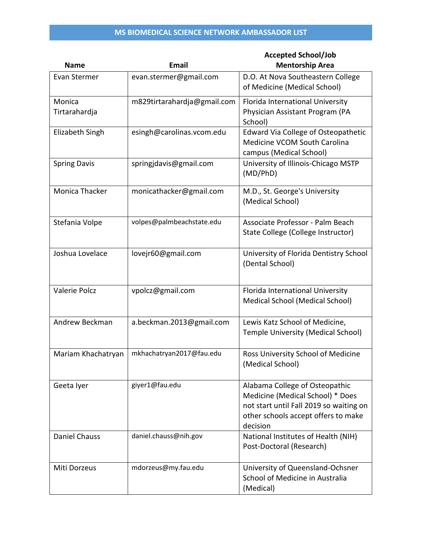|                      |                             | <b>Accepted School/Job</b>                 |
|----------------------|-----------------------------|--------------------------------------------|
| <b>Name</b>          | <b>Email</b>                | <b>Mentorship Area</b>                     |
| Evan Stermer         | evan.stermer@gmail.com      | D.O. At Nova Southeastern College          |
|                      |                             | of Medicine (Medical School)               |
| Monica               | m829tirtarahardja@gmail.com | Florida International University           |
| Tirtarahardja        |                             | Physician Assistant Program (PA            |
|                      |                             | School)                                    |
| Elizabeth Singh      | esingh@carolinas.vcom.edu   | <b>Edward Via College of Osteopathetic</b> |
|                      |                             | Medicine VCOM South Carolina               |
|                      |                             | campus (Medical School)                    |
| <b>Spring Davis</b>  | springjdavis@gmail.com      | University of Illinois-Chicago MSTP        |
|                      |                             | (MD/PhD)                                   |
| Monica Thacker       | monicathacker@gmail.com     | M.D., St. George's University              |
|                      |                             | (Medical School)                           |
|                      |                             |                                            |
| Stefania Volpe       | volpes@palmbeachstate.edu   | Associate Professor - Palm Beach           |
|                      |                             | State College (College Instructor)         |
|                      |                             |                                            |
| Joshua Lovelace      | lovejr60@gmail.com          | University of Florida Dentistry School     |
|                      |                             | (Dental School)                            |
|                      |                             |                                            |
| Valerie Polcz        | vpolcz@gmail.com            | Florida International University           |
|                      |                             | <b>Medical School (Medical School)</b>     |
|                      |                             |                                            |
| Andrew Beckman       | a.beckman.2013@gmail.com    | Lewis Katz School of Medicine,             |
|                      |                             | <b>Temple University (Medical School)</b>  |
|                      |                             |                                            |
| Mariam Khachatryan   | mkhachatryan2017@fau.edu    | Ross University School of Medicine         |
|                      |                             | (Medical School)                           |
|                      |                             |                                            |
| Geeta Iyer           | giyer1@fau.edu              | Alabama College of Osteopathic             |
|                      |                             | Medicine (Medical School) * Does           |
|                      |                             | not start until Fall 2019 so waiting on    |
|                      |                             | other schools accept offers to make        |
|                      |                             | decision                                   |
| <b>Daniel Chauss</b> | daniel.chauss@nih.gov       | National Institutes of Health (NIH)        |
|                      |                             | Post-Doctoral (Research)                   |
| Miti Dorzeus         | mdorzeus@my.fau.edu         | University of Queensland-Ochsner           |
|                      |                             | School of Medicine in Australia            |
|                      |                             | (Medical)                                  |